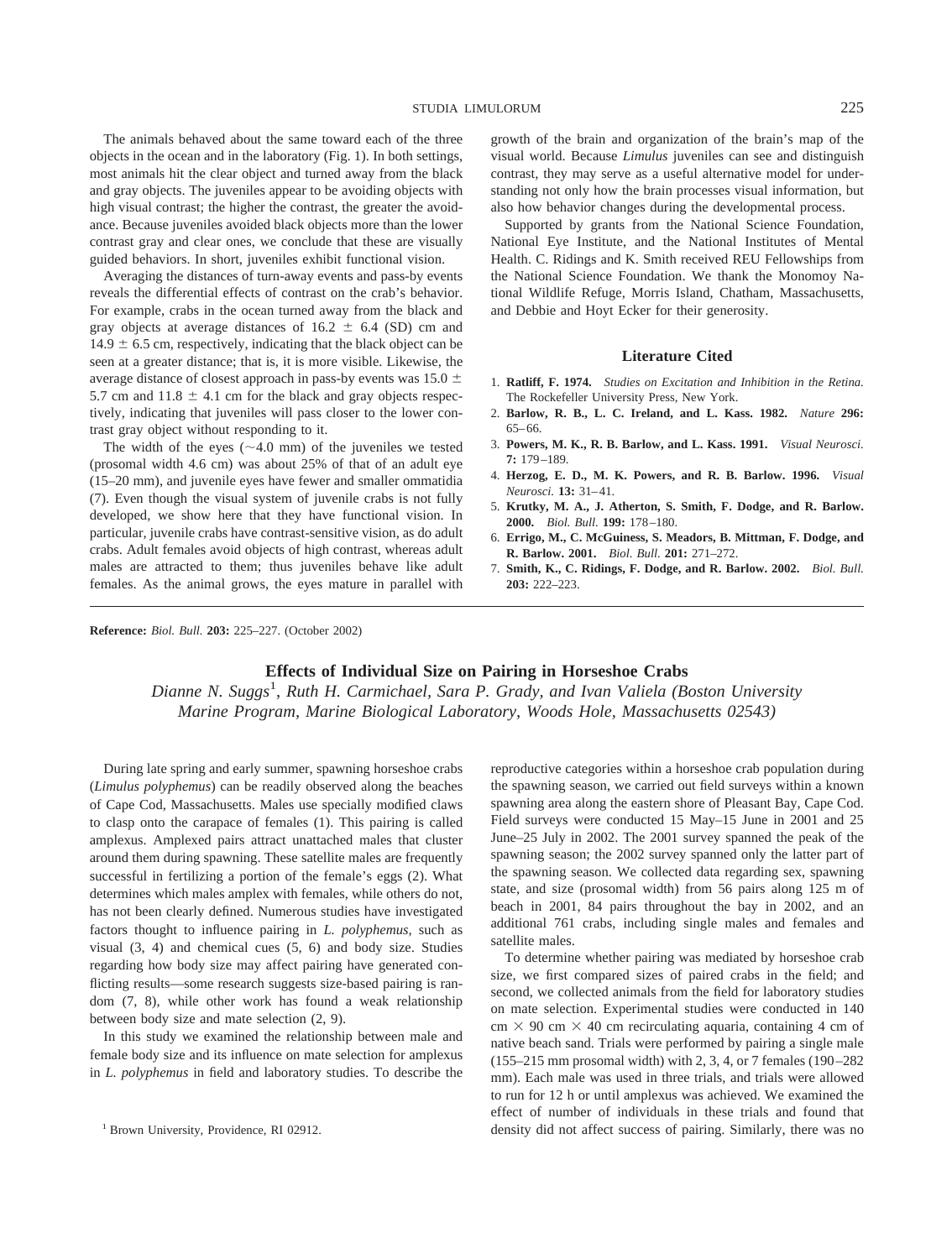The animals behaved about the same toward each of the three objects in the ocean and in the laboratory (Fig. 1). In both settings, most animals hit the clear object and turned away from the black and gray objects. The juveniles appear to be avoiding objects with high visual contrast; the higher the contrast, the greater the avoidance. Because juveniles avoided black objects more than the lower contrast gray and clear ones, we conclude that these are visually guided behaviors. In short, juveniles exhibit functional vision.

Averaging the distances of turn-away events and pass-by events reveals the differential effects of contrast on the crab's behavior. For example, crabs in the ocean turned away from the black and gray objects at average distances of  $16.2 \pm 6.4$  (SD) cm and  $14.9 \pm 6.5$  cm, respectively, indicating that the black object can be seen at a greater distance; that is, it is more visible. Likewise, the average distance of closest approach in pass-by events was  $15.0 \pm$ 5.7 cm and  $11.8 \pm 4.1$  cm for the black and gray objects respectively, indicating that juveniles will pass closer to the lower contrast gray object without responding to it.

The width of the eyes  $(\sim 4.0 \text{ mm})$  of the juveniles we tested (prosomal width 4.6 cm) was about 25% of that of an adult eye (15–20 mm), and juvenile eyes have fewer and smaller ommatidia (7). Even though the visual system of juvenile crabs is not fully developed, we show here that they have functional vision. In particular, juvenile crabs have contrast-sensitive vision, as do adult crabs. Adult females avoid objects of high contrast, whereas adult males are attracted to them; thus juveniles behave like adult females. As the animal grows, the eyes mature in parallel with growth of the brain and organization of the brain's map of the visual world. Because *Limulus* juveniles can see and distinguish contrast, they may serve as a useful alternative model for understanding not only how the brain processes visual information, but also how behavior changes during the developmental process.

Supported by grants from the National Science Foundation, National Eye Institute, and the National Institutes of Mental Health. C. Ridings and K. Smith received REU Fellowships from the National Science Foundation. We thank the Monomoy National Wildlife Refuge, Morris Island, Chatham, Massachusetts, and Debbie and Hoyt Ecker for their generosity.

## **Literature Cited**

- 1. **Ratliff, F. 1974.** *Studies on Excitation and Inhibition in the Retina.* The Rockefeller University Press, New York.
- 2. **Barlow, R. B., L. C. Ireland, and L. Kass. 1982.** *Nature* **296:** 65–66.
- 3. **Powers, M. K., R. B. Barlow, and L. Kass. 1991.** *Visual Neurosci.* **7:** 179–189.
- 4. **Herzog, E. D., M. K. Powers, and R. B. Barlow. 1996.** *Visual Neurosci.* **13:** 31–41.
- 5. **Krutky, M. A., J. Atherton, S. Smith, F. Dodge, and R. Barlow. 2000.** *Biol. Bull.* **199:** 178–180.
- 6. **Errigo, M., C. McGuiness, S. Meadors, B. Mittman, F. Dodge, and R. Barlow. 2001.** *Biol. Bull.* **201:** 271–272.
- 7. **Smith, K., C. Ridings, F. Dodge, and R. Barlow. 2002.** *Biol. Bull.* **203:** 222–223.

**Reference:** *Biol. Bull.* **203:** 225–227. (October 2002)

## **Effects of Individual Size on Pairing in Horseshoe Crabs**

Dianne N. Suggs<sup>1</sup>, Ruth H. Carmichael, Sara P. Grady, and Ivan Valiela (Boston University *Marine Program, Marine Biological Laboratory, Woods Hole, Massachusetts 02543)*

During late spring and early summer, spawning horseshoe crabs (*Limulus polyphemus*) can be readily observed along the beaches of Cape Cod, Massachusetts. Males use specially modified claws to clasp onto the carapace of females (1). This pairing is called amplexus. Amplexed pairs attract unattached males that cluster around them during spawning. These satellite males are frequently successful in fertilizing a portion of the female's eggs (2). What determines which males amplex with females, while others do not, has not been clearly defined. Numerous studies have investigated factors thought to influence pairing in *L. polyphemus,* such as visual (3, 4) and chemical cues (5, 6) and body size. Studies regarding how body size may affect pairing have generated conflicting results—some research suggests size-based pairing is random (7, 8), while other work has found a weak relationship between body size and mate selection (2, 9).

In this study we examined the relationship between male and female body size and its influence on mate selection for amplexus in *L. polyphemus* in field and laboratory studies. To describe the reproductive categories within a horseshoe crab population during the spawning season, we carried out field surveys within a known spawning area along the eastern shore of Pleasant Bay, Cape Cod. Field surveys were conducted 15 May–15 June in 2001 and 25 June–25 July in 2002. The 2001 survey spanned the peak of the spawning season; the 2002 survey spanned only the latter part of the spawning season. We collected data regarding sex, spawning state, and size (prosomal width) from 56 pairs along 125 m of beach in 2001, 84 pairs throughout the bay in 2002, and an additional 761 crabs, including single males and females and satellite males.

To determine whether pairing was mediated by horseshoe crab size, we first compared sizes of paired crabs in the field; and second, we collected animals from the field for laboratory studies on mate selection. Experimental studies were conducted in 140  $cm \times 90$  cm  $\times$  40 cm recirculating aquaria, containing 4 cm of native beach sand. Trials were performed by pairing a single male (155–215 mm prosomal width) with 2, 3, 4, or 7 females (190–282 mm). Each male was used in three trials, and trials were allowed to run for 12 h or until amplexus was achieved. We examined the effect of number of individuals in these trials and found that <sup>1</sup> Brown University, Providence, RI 02912. **1 Brown University, Providence, RI 02912. 1 Brown University, Providence, RI 02912.**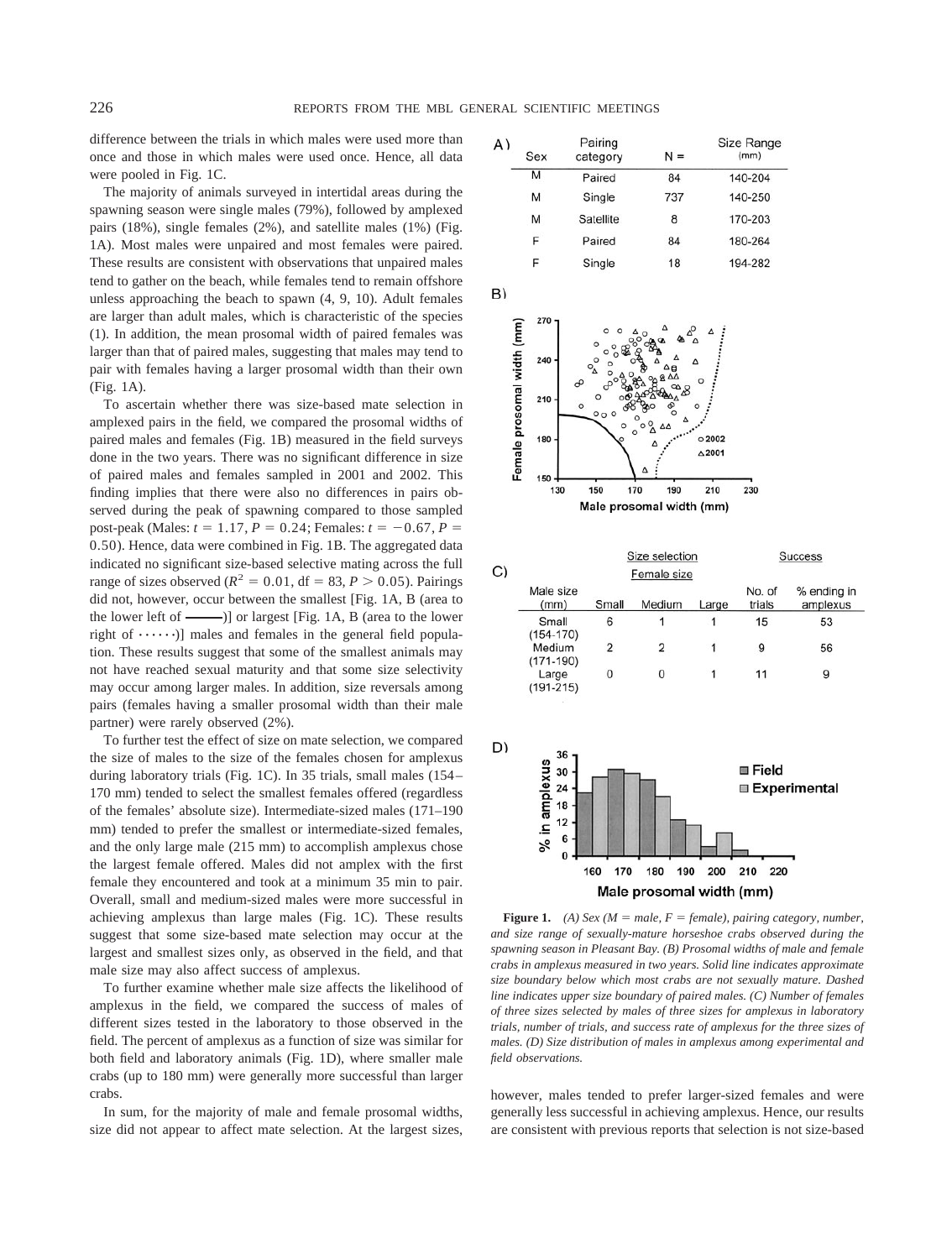difference between the trials in which males were used more than once and those in which males were used once. Hence, all data were pooled in Fig. 1C.

The majority of animals surveyed in intertidal areas during the spawning season were single males (79%), followed by amplexed pairs (18%), single females (2%), and satellite males (1%) (Fig. 1A). Most males were unpaired and most females were paired. These results are consistent with observations that unpaired males tend to gather on the beach, while females tend to remain offshore unless approaching the beach to spawn (4, 9, 10). Adult females are larger than adult males, which is characteristic of the species (1). In addition, the mean prosomal width of paired females was larger than that of paired males, suggesting that males may tend to pair with females having a larger prosomal width than their own (Fig. 1A).

To ascertain whether there was size-based mate selection in amplexed pairs in the field, we compared the prosomal widths of paired males and females (Fig. 1B) measured in the field surveys done in the two years. There was no significant difference in size of paired males and females sampled in 2001 and 2002. This finding implies that there were also no differences in pairs observed during the peak of spawning compared to those sampled post-peak (Males:  $t = 1.17$ ,  $P = 0.24$ ; Females:  $t = -0.67$ ,  $P =$ 0.50). Hence, data were combined in Fig. 1B. The aggregated data indicated no significant size-based selective mating across the full range of sizes observed ( $R^2 = 0.01$ , df = 83,  $P > 0.05$ ). Pairings did not, however, occur between the smallest [Fig. 1A, B (area to the lower left of  $\equiv$  )] or largest [Fig. 1A, B (area to the lower right of  $\dots \dots$ )] males and females in the general field population. These results suggest that some of the smallest animals may not have reached sexual maturity and that some size selectivity may occur among larger males. In addition, size reversals among pairs (females having a smaller prosomal width than their male partner) were rarely observed (2%).

To further test the effect of size on mate selection, we compared the size of males to the size of the females chosen for amplexus during laboratory trials (Fig. 1C). In 35 trials, small males (154– 170 mm) tended to select the smallest females offered (regardless of the females' absolute size). Intermediate-sized males (171–190 mm) tended to prefer the smallest or intermediate-sized females, and the only large male (215 mm) to accomplish amplexus chose the largest female offered. Males did not amplex with the first female they encountered and took at a minimum 35 min to pair. Overall, small and medium-sized males were more successful in achieving amplexus than large males (Fig. 1C). These results suggest that some size-based mate selection may occur at the largest and smallest sizes only, as observed in the field, and that male size may also affect success of amplexus.

To further examine whether male size affects the likelihood of amplexus in the field, we compared the success of males of different sizes tested in the laboratory to those observed in the field. The percent of amplexus as a function of size was similar for both field and laboratory animals (Fig. 1D), where smaller male crabs (up to 180 mm) were generally more successful than larger crabs.

In sum, for the majority of male and female prosomal widths, size did not appear to affect mate selection. At the largest sizes,

| 4) | Sex | Pairing<br>category | $N =$ | Size Range<br>(mm) |
|----|-----|---------------------|-------|--------------------|
|    | M   | Paired              | 84    | 140-204            |
|    | м   | Single              | 737   | 140-250            |
|    | M   | Satellite           | 8     | 170-203            |
|    | F   | Paired              | 84    | 180-264            |
|    | F   | Single              | 18    | 194-282            |



|    |                        |             | Size selection |       |                  | Success                 |  |
|----|------------------------|-------------|----------------|-------|------------------|-------------------------|--|
| C) |                        | Female size |                |       |                  |                         |  |
|    | Male size<br>(mm)      | Small       | Medium         | Large | No. of<br>trials | % ending in<br>amplexus |  |
|    | Small<br>$(154 - 170)$ | 6           |                |       | 15               | 53                      |  |
|    | Medium<br>$(171-190)$  | 2           | 2              |       | 9                | 56                      |  |
|    | Large<br>$(191 - 215)$ | 0           | 0              |       | 11               | 9                       |  |



**Figure 1.** *(A) Sex (M = male, F = female), pairing category, number, and size range of sexually-mature horseshoe crabs observed during the spawning season in Pleasant Bay. (B) Prosomal widths of male and female crabs in amplexus measured in two years. Solid line indicates approximate size boundary below which most crabs are not sexually mature. Dashed line indicates upper size boundary of paired males. (C) Number of females of three sizes selected by males of three sizes for amplexus in laboratory trials, number of trials, and success rate of amplexus for the three sizes of males. (D) Size distribution of males in amplexus among experimental and field observations.*

however, males tended to prefer larger-sized females and were generally less successful in achieving amplexus. Hence, our results are consistent with previous reports that selection is not size-based